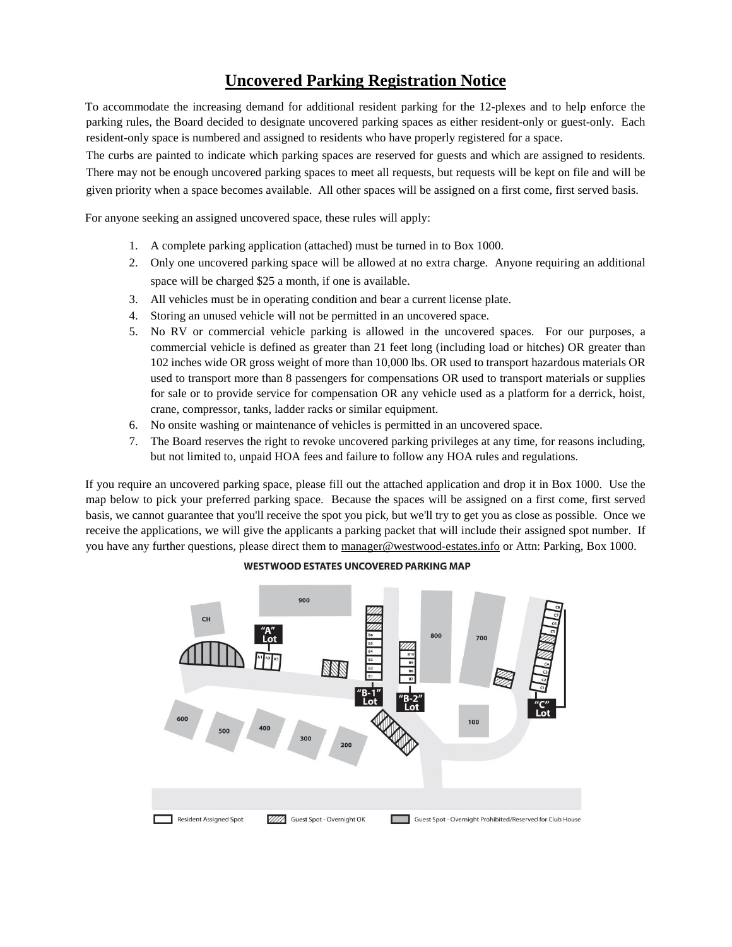## **Uncovered Parking Registration Notice**

To accommodate the increasing demand for additional resident parking for the 12-plexes and to help enforce the parking rules, the Board decided to designate uncovered parking spaces as either resident-only or guest-only. Each resident-only space is numbered and assigned to residents who have properly registered for a space.

The curbs are painted to indicate which parking spaces are reserved for guests and which are assigned to residents. There may not be enough uncovered parking spaces to meet all requests, but requests will be kept on file and will be given priority when a space becomes available. All other spaces will be assigned on a first come, first served basis.

For anyone seeking an assigned uncovered space, these rules will apply:

- 1. A complete parking application (attached) must be turned in to Box 1000.
- 2. Only one uncovered parking space will be allowed at no extra charge. Anyone requiring an additional space will be charged \$25 a month, if one is available.
- 3. All vehicles must be in operating condition and bear a current license plate.
- 4. Storing an unused vehicle will not be permitted in an uncovered space.
- 5. No RV or commercial vehicle parking is allowed in the uncovered spaces. For our purposes, a commercial vehicle is defined as greater than 21 feet long (including load or hitches) OR greater than 102 inches wide OR gross weight of more than 10,000 lbs. OR used to transport hazardous materials OR used to transport more than 8 passengers for compensations OR used to transport materials or supplies for sale or to provide service for compensation OR any vehicle used as a platform for a derrick, hoist, crane, compressor, tanks, ladder racks or similar equipment.
- 6. No onsite washing or maintenance of vehicles is permitted in an uncovered space.
- 7. The Board reserves the right to revoke uncovered parking privileges at any time, for reasons including, but not limited to, unpaid HOA fees and failure to follow any HOA rules and regulations.

If you require an uncovered parking space, please fill out the attached application and drop it in Box 1000. Use the map below to pick your preferred parking space. Because the spaces will be assigned on a first come, first served basis, we cannot guarantee that you'll receive the spot you pick, but we'll try to get you as close as possible. Once we receive the applications, we will give the applicants a parking packet that will include their assigned spot number. If you have any further questions, please direct them to manager@westwood-estates.info or Attn: Parking, Box 1000.



## **WESTWOOD ESTATES UNCOVERED PARKING MAP**